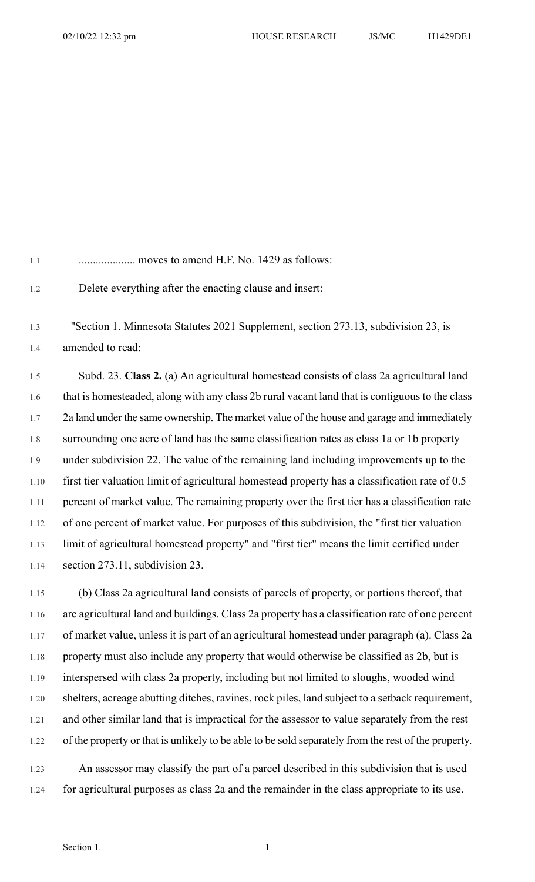1.1 .................... moves to amend H.F. No. 1429 as follows: 1.2 Delete everything after the enacting clause and insert: 1.3 "Section 1. Minnesota Statutes 2021 Supplement, section 273.13, subdivision 23, is 1.4 amended to read: 1.5 Subd. 23. **Class 2.** (a) An agricultural homestead consists of class 2a agricultural land 1.6 that is homesteaded, along with any class 2b rural vacant land that is contiguous to the class 1.7 2a land under the same ownership. The market value of the house and garage and immediately 1.8 surrounding one acre of land has the same classification rates as class 1a or 1b property 1.9 under subdivision 22. The value of the remaining land including improvements up to the 1.10 first tier valuation limit of agricultural homestead property has a classification rate of 0.5 1.11 percent of market value. The remaining property over the first tier has a classification rate 1.12 of one percent of market value. For purposes of this subdivision, the "first tier valuation 1.13 limit of agricultural homestead property" and "first tier" means the limit certified under

1.14 section 273.11, subdivision 23.

1.15 (b) Class 2a agricultural land consists of parcels of property, or portions thereof, that 1.16 are agricultural land and buildings. Class 2a property has a classification rate of one percent 1.17 of market value, unless it is part of an agricultural homestead under paragraph (a). Class 2a 1.18 property must also include any property that would otherwise be classified as 2b, but is 1.19 interspersed with class 2a property, including but not limited to sloughs, wooded wind 1.20 shelters, acreage abutting ditches, ravines, rock piles, land subject to a setback requirement, 1.21 and other similar land that is impractical for the assessor to value separately from the rest 1.22 of the property or that is unlikely to be able to be sold separately from the rest of the property.

1.23 An assessor may classify the part of a parcel described in this subdivision that is used 1.24 for agricultural purposes as class 2a and the remainder in the class appropriate to its use.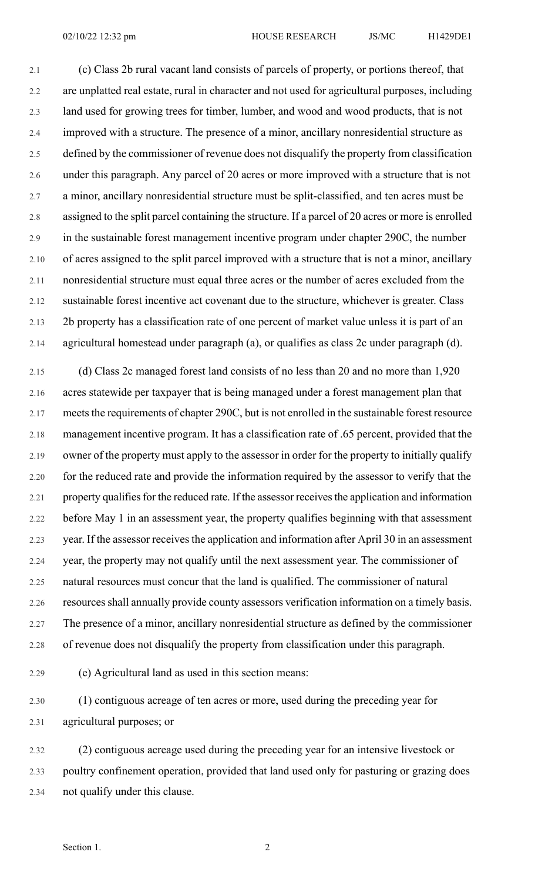2.1 (c) Class 2b rural vacant land consists of parcels of property, or portions thereof, that 2.2 are unplatted real estate, rural in character and not used for agricultural purposes, including 2.3 land used for growing trees for timber, lumber, and wood and wood products, that is not 2.4 improved with a structure. The presence of a minor, ancillary nonresidential structure as 2.5 defined by the commissioner of revenue does not disqualify the property from classification 2.6 under this paragraph. Any parcel of 20 acres or more improved with a structure that is not 2.7 a minor, ancillary nonresidential structure must be split-classified, and ten acres must be 2.8 assigned to the split parcel containing the structure. If a parcel of 20 acres or more is enrolled 2.9 in the sustainable forest management incentive program under chapter 290C, the number 2.10 of acres assigned to the split parcel improved with a structure that is not a minor, ancillary 2.11 nonresidential structure must equal three acres or the number of acres excluded from the 2.12 sustainable forest incentive act covenant due to the structure, whichever is greater. Class 2.13 2b property has a classification rate of one percent of market value unless it is part of an 2.14 agricultural homestead under paragraph (a), or qualifies as class 2c under paragraph (d).

2.15 (d) Class 2c managed forest land consists of no less than 20 and no more than 1,920 2.16 acres statewide per taxpayer that is being managed under a forest management plan that 2.17 meets the requirements of chapter 290C, but is not enrolled in the sustainable forest resource 2.18 management incentive program. It has a classification rate of .65 percent, provided that the 2.19 owner of the property must apply to the assessor in order for the property to initially qualify 2.20 for the reduced rate and provide the information required by the assessor to verify that the 2.21 property qualifies for the reduced rate. If the assessor receives the application and information 2.22 before May 1 in an assessment year, the property qualifies beginning with that assessment 2.23 year. If the assessor receives the application and information after April 30 in an assessment 2.24 year, the property may not qualify until the next assessment year. The commissioner of 2.25 natural resources must concur that the land is qualified. The commissioner of natural 2.26 resources shall annually provide county assessors verification information on a timely basis. 2.27 The presence of a minor, ancillary nonresidential structure as defined by the commissioner 2.28 of revenue does not disqualify the property from classification under this paragraph.

2.29 (e) Agricultural land as used in this section means:

2.30 (1) contiguous acreage of ten acres or more, used during the preceding year for 2.31 agricultural purposes; or

2.32 (2) contiguous acreage used during the preceding year for an intensive livestock or 2.33 poultry confinement operation, provided that land used only for pasturing or grazing does 2.34 not qualify under this clause.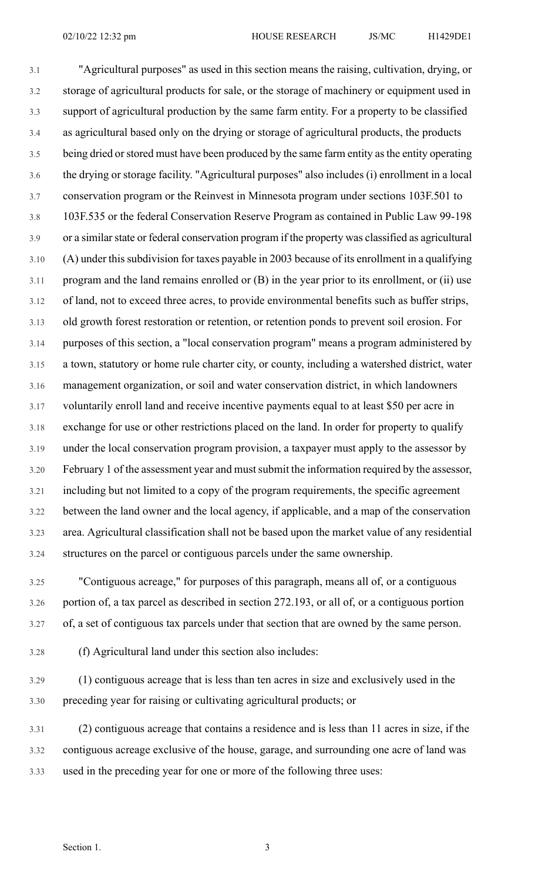3.1 "Agricultural purposes" as used in this section means the raising, cultivation, drying, or 3.2 storage of agricultural products for sale, or the storage of machinery or equipment used in 3.3 support of agricultural production by the same farm entity. For a property to be classified 3.4 as agricultural based only on the drying or storage of agricultural products, the products 3.5 being dried or stored must have been produced by the same farm entity as the entity operating 3.6 the drying or storage facility. "Agricultural purposes" also includes (i) enrollment in a local 3.7 conservation program or the Reinvest in Minnesota program under sections 103F.501 to 3.8 103F.535 or the federal Conservation Reserve Program as contained in Public Law 99-198 3.9 or a similar state or federal conservation program if the property was classified as agricultural 3.10 (A) under thissubdivision for taxes payable in 2003 because of its enrollment in a qualifying 3.11 program and the land remains enrolled or (B) in the year prior to its enrollment, or (ii) use 3.12 of land, not to exceed three acres, to provide environmental benefits such as buffer strips, 3.13 old growth forest restoration or retention, or retention ponds to prevent soil erosion. For 3.14 purposes of this section, a "local conservation program" means a program administered by 3.15 a town, statutory or home rule charter city, or county, including a watershed district, water 3.16 management organization, or soil and water conservation district, in which landowners 3.17 voluntarily enroll land and receive incentive payments equal to at least \$50 per acre in 3.18 exchange for use or other restrictions placed on the land. In order for property to qualify 3.19 under the local conservation program provision, a taxpayer must apply to the assessor by 3.20 February 1 of the assessment year and mustsubmit the information required by the assessor, 3.21 including but not limited to a copy of the program requirements, the specific agreement 3.22 between the land owner and the local agency, if applicable, and a map of the conservation 3.23 area. Agricultural classification shall not be based upon the market value of any residential 3.24 structures on the parcel or contiguous parcels under the same ownership.

3.25 "Contiguous acreage," for purposes of this paragraph, means all of, or a contiguous 3.26 portion of, a tax parcel as described in section 272.193, or all of, or a contiguous portion 3.27 of, a set of contiguous tax parcels under that section that are owned by the same person.

3.28 (f) Agricultural land under this section also includes:

3.29 (1) contiguous acreage that is less than ten acres in size and exclusively used in the 3.30 preceding year for raising or cultivating agricultural products; or

3.31 (2) contiguous acreage that contains a residence and is less than 11 acres in size, if the 3.32 contiguous acreage exclusive of the house, garage, and surrounding one acre of land was 3.33 used in the preceding year for one or more of the following three uses: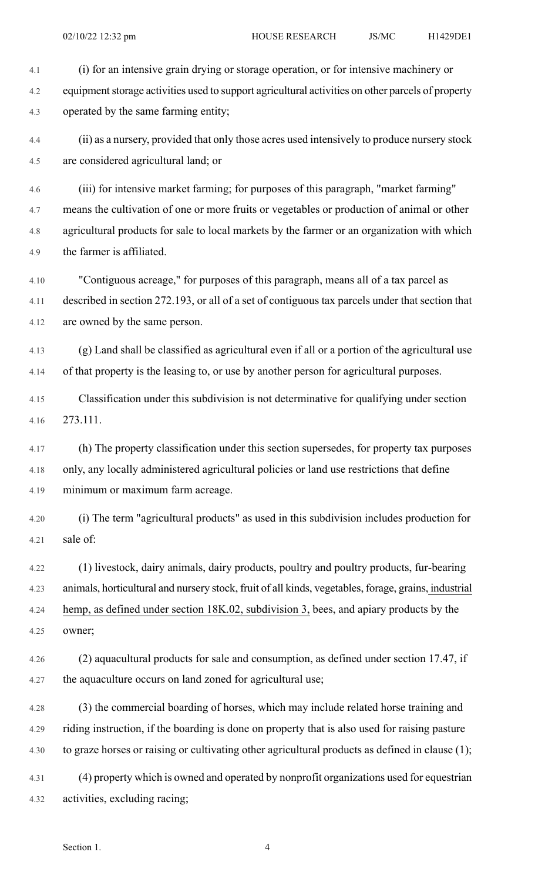4.1 (i) for an intensive grain drying or storage operation, or for intensive machinery or 4.2 equipment storage activities used to support agricultural activities on other parcels of property 4.3 operated by the same farming entity;

4.4 (ii) as a nursery, provided that only those acres used intensively to produce nursery stock 4.5 are considered agricultural land; or

4.6 (iii) for intensive market farming; for purposes of this paragraph, "market farming" 4.7 means the cultivation of one or more fruits or vegetables or production of animal or other 4.8 agricultural products for sale to local markets by the farmer or an organization with which 4.9 the farmer is affiliated.

4.10 "Contiguous acreage," for purposes of this paragraph, means all of a tax parcel as 4.11 described in section 272.193, or all of a set of contiguous tax parcels under that section that 4.12 are owned by the same person.

4.13 (g) Land shall be classified as agricultural even if all or a portion of the agricultural use 4.14 of that property is the leasing to, or use by another person for agricultural purposes.

4.15 Classification under this subdivision is not determinative for qualifying under section 4.16 273.111.

4.17 (h) The property classification under this section supersedes, for property tax purposes 4.18 only, any locally administered agricultural policies or land use restrictions that define 4.19 minimum or maximum farm acreage.

4.20 (i) The term "agricultural products" as used in this subdivision includes production for 4.21 sale of:

4.22 (1) livestock, dairy animals, dairy products, poultry and poultry products, fur-bearing 4.23 animals, horticultural and nursery stock, fruit of all kinds, vegetables, forage, grains, industrial 4.24 hemp, as defined under section 18K.02, subdivision 3, bees, and apiary products by the 4.25 owner;

4.26 (2) aquacultural products for sale and consumption, as defined under section 17.47, if 4.27 the aquaculture occurs on land zoned for agricultural use;

4.28 (3) the commercial boarding of horses, which may include related horse training and 4.29 riding instruction, if the boarding is done on property that is also used for raising pasture 4.30 to graze horses or raising or cultivating other agricultural products as defined in clause (1);

4.31 (4) property which is owned and operated by nonprofit organizations used for equestrian 4.32 activities, excluding racing;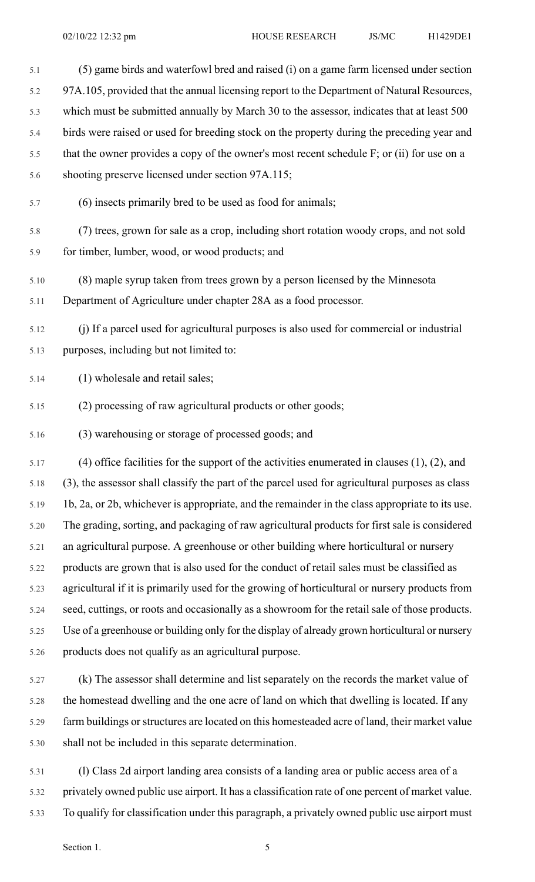- 5.1 (5) game birds and waterfowl bred and raised (i) on a game farm licensed under section 5.2 97A.105, provided that the annual licensing report to the Department of Natural Resources, 5.3 which must be submitted annually by March 30 to the assessor, indicates that at least 500 5.4 birds were raised or used for breeding stock on the property during the preceding year and 5.5 that the owner provides a copy of the owner's most recent schedule F; or (ii) for use on a 5.6 shooting preserve licensed under section 97A.115; 5.7 (6) insects primarily bred to be used as food for animals; 5.8 (7) trees, grown for sale as a crop, including short rotation woody crops, and not sold 5.9 for timber, lumber, wood, or wood products; and 5.10 (8) maple syrup taken from trees grown by a person licensed by the Minnesota 5.11 Department of Agriculture under chapter 28A as a food processor. 5.12 (j) If a parcel used for agricultural purposes is also used for commercial or industrial 5.13 purposes, including but not limited to: 5.14 (1) wholesale and retail sales; 5.15 (2) processing of raw agricultural products or other goods; 5.16 (3) warehousing or storage of processed goods; and 5.17 (4) office facilities for the support of the activities enumerated in clauses (1), (2), and 5.18 (3), the assessor shall classify the part of the parcel used for agricultural purposes as class 5.19 1b, 2a, or 2b, whichever is appropriate, and the remainder in the class appropriate to its use. 5.20 The grading, sorting, and packaging of raw agricultural products for first sale is considered 5.21 an agricultural purpose. A greenhouse or other building where horticultural or nursery 5.22 products are grown that is also used for the conduct of retail sales must be classified as 5.23 agricultural if it is primarily used for the growing of horticultural or nursery products from 5.24 seed, cuttings, or roots and occasionally as a showroom for the retail sale of those products. 5.25 Use of a greenhouse or building only for the display of already grown horticultural or nursery 5.26 products does not qualify as an agricultural purpose. 5.27 (k) The assessor shall determine and list separately on the records the market value of
- 5.28 the homestead dwelling and the one acre of land on which that dwelling is located. If any 5.29 farm buildings or structures are located on this homesteaded acre of land, their market value 5.30 shall not be included in this separate determination.
- 5.31 (l) Class 2d airport landing area consists of a landing area or public access area of a 5.32 privately owned public use airport. It has a classification rate of one percent of market value. 5.33 To qualify for classification under this paragraph, a privately owned public use airport must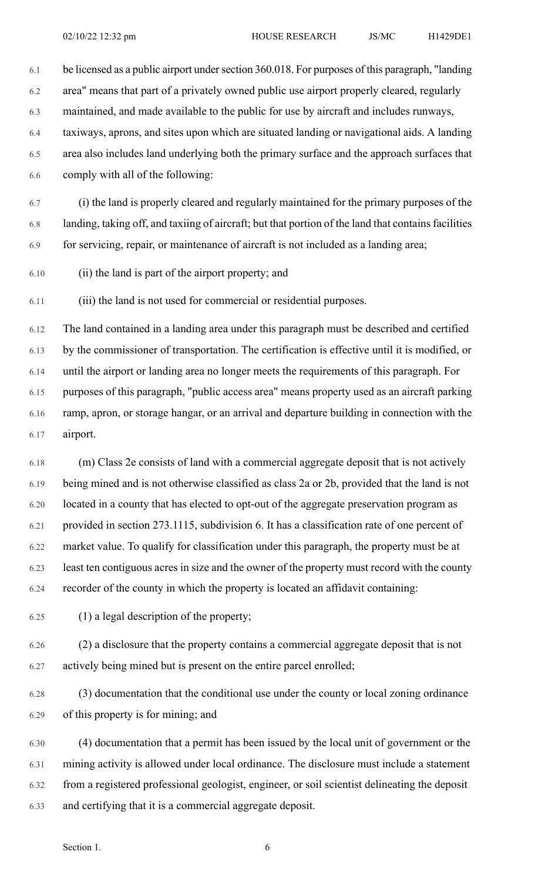6.1 be licensed as a public airport undersection 360.018. For purposes of this paragraph, "landing

6.2 area" means that part of a privately owned public use airport properly cleared, regularly

6.3 maintained, and made available to the public for use by aircraft and includes runways,

6.4 taxiways, aprons, and sites upon which are situated landing or navigational aids. A landing

6.5 area also includes land underlying both the primary surface and the approach surfaces that 6.6 comply with all of the following:

6.7 (i) the land is properly cleared and regularly maintained for the primary purposes of the 6.8 landing, taking off, and taxiing of aircraft; but that portion of the land that contains facilities 6.9 for servicing, repair, or maintenance of aircraft is not included as a landing area;

6.10 (ii) the land is part of the airport property; and

6.11 (iii) the land is not used for commercial or residential purposes.

6.12 The land contained in a landing area under this paragraph must be described and certified 6.13 by the commissioner of transportation. The certification is effective until it is modified, or 6.14 until the airport or landing area no longer meets the requirements of this paragraph. For 6.15 purposes of this paragraph, "public access area" means property used as an aircraft parking 6.16 ramp, apron, or storage hangar, or an arrival and departure building in connection with the 6.17 airport.

6.18 (m) Class 2e consists of land with a commercial aggregate deposit that is not actively 6.19 being mined and is not otherwise classified as class 2a or 2b, provided that the land is not 6.20 located in a county that has elected to opt-out of the aggregate preservation program as 6.21 provided in section 273.1115, subdivision 6. It has a classification rate of one percent of 6.22 market value. To qualify for classification under this paragraph, the property must be at 6.23 least ten contiguous acres in size and the owner of the property must record with the county 6.24 recorder of the county in which the property is located an affidavit containing:

6.25 (1) a legal description of the property;

6.26 (2) a disclosure that the property contains a commercial aggregate deposit that is not 6.27 actively being mined but is present on the entire parcel enrolled;

6.28 (3) documentation that the conditional use under the county or local zoning ordinance 6.29 of this property is for mining; and

6.30 (4) documentation that a permit has been issued by the local unit of government or the 6.31 mining activity is allowed under local ordinance. The disclosure must include a statement 6.32 from a registered professional geologist, engineer, or soil scientist delineating the deposit 6.33 and certifying that it is a commercial aggregate deposit.